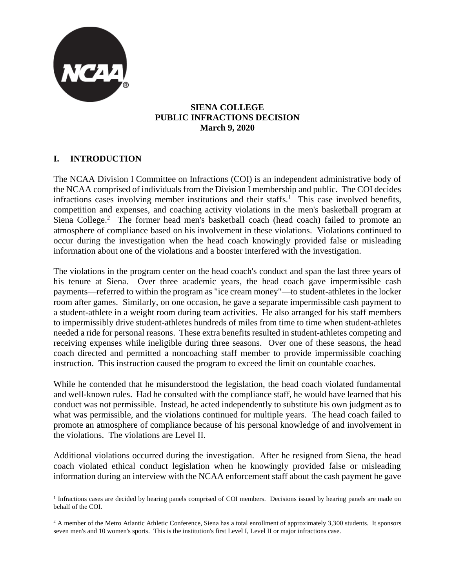

### **SIENA COLLEGE PUBLIC INFRACTIONS DECISION March 9, 2020**

# **I. INTRODUCTION**

The NCAA Division I Committee on Infractions (COI) is an independent administrative body of the NCAA comprised of individuals from the Division I membership and public. The COI decides infractions cases involving member institutions and their staffs.<sup>1</sup> This case involved benefits, competition and expenses, and coaching activity violations in the men's basketball program at Siena College.<sup>2</sup> The former head men's basketball coach (head coach) failed to promote an atmosphere of compliance based on his involvement in these violations. Violations continued to occur during the investigation when the head coach knowingly provided false or misleading information about one of the violations and a booster interfered with the investigation.

The violations in the program center on the head coach's conduct and span the last three years of his tenure at Siena. Over three academic years, the head coach gave impermissible cash payments—referred to within the program as "ice cream money"—to student-athletes in the locker room after games. Similarly, on one occasion, he gave a separate impermissible cash payment to a student-athlete in a weight room during team activities. He also arranged for his staff members to impermissibly drive student-athletes hundreds of miles from time to time when student-athletes needed a ride for personal reasons. These extra benefits resulted in student-athletes competing and receiving expenses while ineligible during three seasons. Over one of these seasons, the head coach directed and permitted a noncoaching staff member to provide impermissible coaching instruction. This instruction caused the program to exceed the limit on countable coaches.

While he contended that he misunderstood the legislation, the head coach violated fundamental and well-known rules. Had he consulted with the compliance staff, he would have learned that his conduct was not permissible. Instead, he acted independently to substitute his own judgment as to what was permissible, and the violations continued for multiple years. The head coach failed to promote an atmosphere of compliance because of his personal knowledge of and involvement in the violations. The violations are Level II.

Additional violations occurred during the investigation. After he resigned from Siena, the head coach violated ethical conduct legislation when he knowingly provided false or misleading information during an interview with the NCAA enforcement staff about the cash payment he gave

<sup>&</sup>lt;sup>1</sup> Infractions cases are decided by hearing panels comprised of COI members. Decisions issued by hearing panels are made on behalf of the COI.

<sup>&</sup>lt;sup>2</sup> A member of the Metro Atlantic Athletic Conference, Siena has a total enrollment of approximately 3,300 students. It sponsors seven men's and 10 women's sports. This is the institution's first Level I, Level II or major infractions case.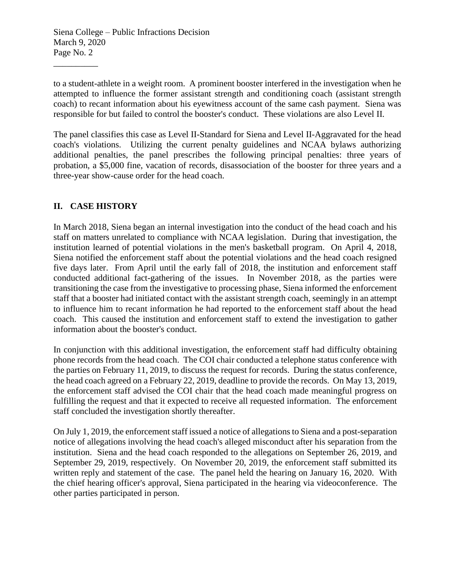to a student-athlete in a weight room. A prominent booster interfered in the investigation when he attempted to influence the former assistant strength and conditioning coach (assistant strength coach) to recant information about his eyewitness account of the same cash payment. Siena was responsible for but failed to control the booster's conduct. These violations are also Level II.

The panel classifies this case as Level II-Standard for Siena and Level II-Aggravated for the head coach's violations. Utilizing the current penalty guidelines and NCAA bylaws authorizing additional penalties, the panel prescribes the following principal penalties: three years of probation, a \$5,000 fine, vacation of records, disassociation of the booster for three years and a three-year show-cause order for the head coach.

# **II. CASE HISTORY**

\_\_\_\_\_\_\_\_\_\_

In March 2018, Siena began an internal investigation into the conduct of the head coach and his staff on matters unrelated to compliance with NCAA legislation. During that investigation, the institution learned of potential violations in the men's basketball program. On April 4, 2018, Siena notified the enforcement staff about the potential violations and the head coach resigned five days later. From April until the early fall of 2018, the institution and enforcement staff conducted additional fact-gathering of the issues. In November 2018, as the parties were transitioning the case from the investigative to processing phase, Siena informed the enforcement staff that a booster had initiated contact with the assistant strength coach, seemingly in an attempt to influence him to recant information he had reported to the enforcement staff about the head coach. This caused the institution and enforcement staff to extend the investigation to gather information about the booster's conduct.

In conjunction with this additional investigation, the enforcement staff had difficulty obtaining phone records from the head coach. The COI chair conducted a telephone status conference with the parties on February 11, 2019, to discuss the request for records. During the status conference, the head coach agreed on a February 22, 2019, deadline to provide the records. On May 13, 2019, the enforcement staff advised the COI chair that the head coach made meaningful progress on fulfilling the request and that it expected to receive all requested information. The enforcement staff concluded the investigation shortly thereafter.

On July 1, 2019, the enforcement staff issued a notice of allegations to Siena and a post-separation notice of allegations involving the head coach's alleged misconduct after his separation from the institution. Siena and the head coach responded to the allegations on September 26, 2019, and September 29, 2019, respectively. On November 20, 2019, the enforcement staff submitted its written reply and statement of the case. The panel held the hearing on January 16, 2020. With the chief hearing officer's approval, Siena participated in the hearing via videoconference. The other parties participated in person.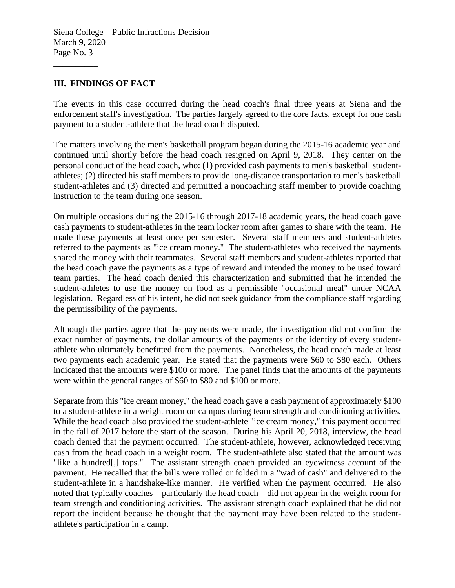### **III. FINDINGS OF FACT**

\_\_\_\_\_\_\_\_\_\_

The events in this case occurred during the head coach's final three years at Siena and the enforcement staff's investigation. The parties largely agreed to the core facts, except for one cash payment to a student-athlete that the head coach disputed.

The matters involving the men's basketball program began during the 2015-16 academic year and continued until shortly before the head coach resigned on April 9, 2018. They center on the personal conduct of the head coach, who: (1) provided cash payments to men's basketball studentathletes; (2) directed his staff members to provide long-distance transportation to men's basketball student-athletes and (3) directed and permitted a noncoaching staff member to provide coaching instruction to the team during one season.

On multiple occasions during the 2015-16 through 2017-18 academic years, the head coach gave cash payments to student-athletes in the team locker room after games to share with the team. He made these payments at least once per semester. Several staff members and student-athletes referred to the payments as "ice cream money." The student-athletes who received the payments shared the money with their teammates. Several staff members and student-athletes reported that the head coach gave the payments as a type of reward and intended the money to be used toward team parties. The head coach denied this characterization and submitted that he intended the student-athletes to use the money on food as a permissible "occasional meal" under NCAA legislation. Regardless of his intent, he did not seek guidance from the compliance staff regarding the permissibility of the payments.

Although the parties agree that the payments were made, the investigation did not confirm the exact number of payments, the dollar amounts of the payments or the identity of every studentathlete who ultimately benefitted from the payments. Nonetheless, the head coach made at least two payments each academic year. He stated that the payments were \$60 to \$80 each. Others indicated that the amounts were \$100 or more. The panel finds that the amounts of the payments were within the general ranges of \$60 to \$80 and \$100 or more.

Separate from this "ice cream money," the head coach gave a cash payment of approximately \$100 to a student-athlete in a weight room on campus during team strength and conditioning activities. While the head coach also provided the student-athlete "ice cream money," this payment occurred in the fall of 2017 before the start of the season. During his April 20, 2018, interview, the head coach denied that the payment occurred. The student-athlete, however, acknowledged receiving cash from the head coach in a weight room. The student-athlete also stated that the amount was "like a hundred[,] tops." The assistant strength coach provided an eyewitness account of the payment. He recalled that the bills were rolled or folded in a "wad of cash" and delivered to the student-athlete in a handshake-like manner. He verified when the payment occurred. He also noted that typically coaches—particularly the head coach—did not appear in the weight room for team strength and conditioning activities. The assistant strength coach explained that he did not report the incident because he thought that the payment may have been related to the studentathlete's participation in a camp.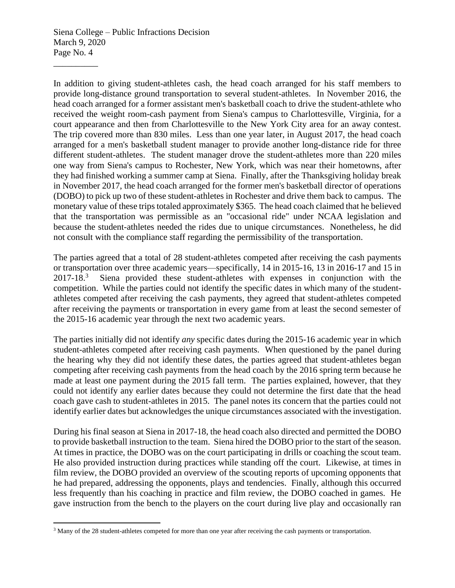\_\_\_\_\_\_\_\_\_\_

In addition to giving student-athletes cash, the head coach arranged for his staff members to provide long-distance ground transportation to several student-athletes. In November 2016, the head coach arranged for a former assistant men's basketball coach to drive the student-athlete who received the weight room-cash payment from Siena's campus to Charlottesville, Virginia, for a court appearance and then from Charlottesville to the New York City area for an away contest. The trip covered more than 830 miles. Less than one year later, in August 2017, the head coach arranged for a men's basketball student manager to provide another long-distance ride for three different student-athletes. The student manager drove the student-athletes more than 220 miles one way from Siena's campus to Rochester, New York, which was near their hometowns, after they had finished working a summer camp at Siena. Finally, after the Thanksgiving holiday break in November 2017, the head coach arranged for the former men's basketball director of operations (DOBO) to pick up two of these student-athletes in Rochester and drive them back to campus. The monetary value of these trips totaled approximately \$365. The head coach claimed that he believed that the transportation was permissible as an "occasional ride" under NCAA legislation and because the student-athletes needed the rides due to unique circumstances. Nonetheless, he did not consult with the compliance staff regarding the permissibility of the transportation.

The parties agreed that a total of 28 student-athletes competed after receiving the cash payments or transportation over three academic years—specifically, 14 in 2015-16, 13 in 2016-17 and 15 in 2017-18. 3 Siena provided these student-athletes with expenses in conjunction with the competition. While the parties could not identify the specific dates in which many of the studentathletes competed after receiving the cash payments, they agreed that student-athletes competed after receiving the payments or transportation in every game from at least the second semester of the 2015-16 academic year through the next two academic years.

The parties initially did not identify *any* specific dates during the 2015-16 academic year in which student-athletes competed after receiving cash payments. When questioned by the panel during the hearing why they did not identify these dates, the parties agreed that student-athletes began competing after receiving cash payments from the head coach by the 2016 spring term because he made at least one payment during the 2015 fall term. The parties explained, however, that they could not identify any earlier dates because they could not determine the first date that the head coach gave cash to student-athletes in 2015. The panel notes its concern that the parties could not identify earlier dates but acknowledges the unique circumstances associated with the investigation.

During his final season at Siena in 2017-18, the head coach also directed and permitted the DOBO to provide basketball instruction to the team. Siena hired the DOBO prior to the start of the season. At times in practice, the DOBO was on the court participating in drills or coaching the scout team. He also provided instruction during practices while standing off the court. Likewise, at times in film review, the DOBO provided an overview of the scouting reports of upcoming opponents that he had prepared, addressing the opponents, plays and tendencies. Finally, although this occurred less frequently than his coaching in practice and film review, the DOBO coached in games. He gave instruction from the bench to the players on the court during live play and occasionally ran

<sup>&</sup>lt;sup>3</sup> Many of the 28 student-athletes competed for more than one year after receiving the cash payments or transportation.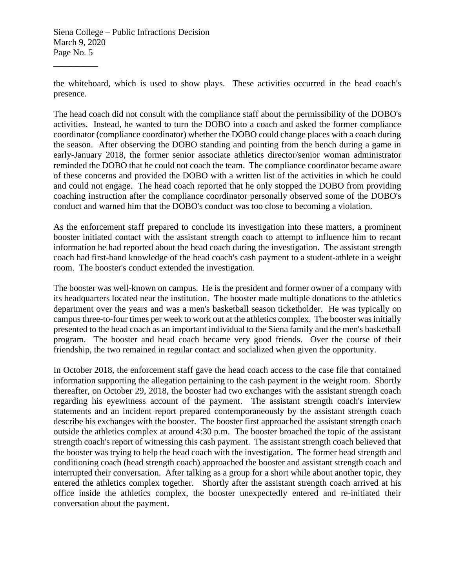\_\_\_\_\_\_\_\_\_\_

the whiteboard, which is used to show plays. These activities occurred in the head coach's presence.

The head coach did not consult with the compliance staff about the permissibility of the DOBO's activities. Instead, he wanted to turn the DOBO into a coach and asked the former compliance coordinator (compliance coordinator) whether the DOBO could change places with a coach during the season. After observing the DOBO standing and pointing from the bench during a game in early-January 2018, the former senior associate athletics director/senior woman administrator reminded the DOBO that he could not coach the team. The compliance coordinator became aware of these concerns and provided the DOBO with a written list of the activities in which he could and could not engage. The head coach reported that he only stopped the DOBO from providing coaching instruction after the compliance coordinator personally observed some of the DOBO's conduct and warned him that the DOBO's conduct was too close to becoming a violation.

As the enforcement staff prepared to conclude its investigation into these matters, a prominent booster initiated contact with the assistant strength coach to attempt to influence him to recant information he had reported about the head coach during the investigation. The assistant strength coach had first-hand knowledge of the head coach's cash payment to a student-athlete in a weight room. The booster's conduct extended the investigation.

The booster was well-known on campus. He is the president and former owner of a company with its headquarters located near the institution. The booster made multiple donations to the athletics department over the years and was a men's basketball season ticketholder. He was typically on campus three-to-four times per week to work out at the athletics complex. The booster was initially presented to the head coach as an important individual to the Siena family and the men's basketball program. The booster and head coach became very good friends. Over the course of their friendship, the two remained in regular contact and socialized when given the opportunity.

In October 2018, the enforcement staff gave the head coach access to the case file that contained information supporting the allegation pertaining to the cash payment in the weight room. Shortly thereafter, on October 29, 2018, the booster had two exchanges with the assistant strength coach regarding his eyewitness account of the payment. The assistant strength coach's interview statements and an incident report prepared contemporaneously by the assistant strength coach describe his exchanges with the booster. The booster first approached the assistant strength coach outside the athletics complex at around 4:30 p.m. The booster broached the topic of the assistant strength coach's report of witnessing this cash payment. The assistant strength coach believed that the booster was trying to help the head coach with the investigation. The former head strength and conditioning coach (head strength coach) approached the booster and assistant strength coach and interrupted their conversation. After talking as a group for a short while about another topic, they entered the athletics complex together. Shortly after the assistant strength coach arrived at his office inside the athletics complex, the booster unexpectedly entered and re-initiated their conversation about the payment.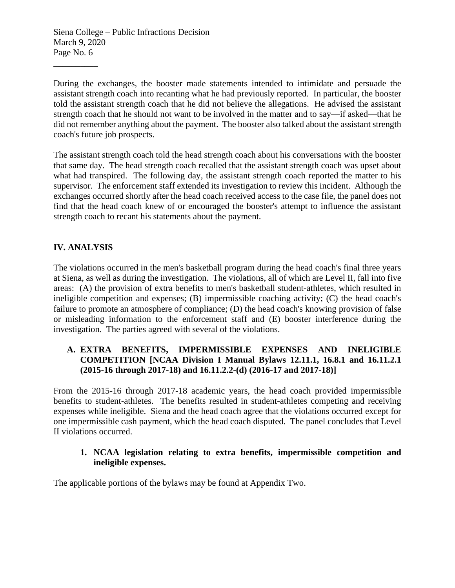During the exchanges, the booster made statements intended to intimidate and persuade the assistant strength coach into recanting what he had previously reported. In particular, the booster told the assistant strength coach that he did not believe the allegations. He advised the assistant strength coach that he should not want to be involved in the matter and to say—if asked—that he did not remember anything about the payment. The booster also talked about the assistant strength coach's future job prospects.

The assistant strength coach told the head strength coach about his conversations with the booster that same day. The head strength coach recalled that the assistant strength coach was upset about what had transpired. The following day, the assistant strength coach reported the matter to his supervisor. The enforcement staff extended its investigation to review this incident. Although the exchanges occurred shortly after the head coach received access to the case file, the panel does not find that the head coach knew of or encouraged the booster's attempt to influence the assistant strength coach to recant his statements about the payment.

# **IV. ANALYSIS**

The violations occurred in the men's basketball program during the head coach's final three years at Siena, as well as during the investigation. The violations, all of which are Level II, fall into five areas: (A) the provision of extra benefits to men's basketball student-athletes, which resulted in ineligible competition and expenses;  $(B)$  impermissible coaching activity;  $(C)$  the head coach's failure to promote an atmosphere of compliance; (D) the head coach's knowing provision of false or misleading information to the enforcement staff and (E) booster interference during the investigation. The parties agreed with several of the violations.

# **A. EXTRA BENEFITS, IMPERMISSIBLE EXPENSES AND INELIGIBLE COMPETITION [NCAA Division I Manual Bylaws 12.11.1, 16.8.1 and 16.11.2.1 (2015-16 through 2017-18) and 16.11.2.2-(d) (2016-17 and 2017-18)]**

From the 2015-16 through 2017-18 academic years, the head coach provided impermissible benefits to student-athletes. The benefits resulted in student-athletes competing and receiving expenses while ineligible. Siena and the head coach agree that the violations occurred except for one impermissible cash payment, which the head coach disputed. The panel concludes that Level II violations occurred.

## **1. NCAA legislation relating to extra benefits, impermissible competition and ineligible expenses.**

The applicable portions of the bylaws may be found at Appendix Two.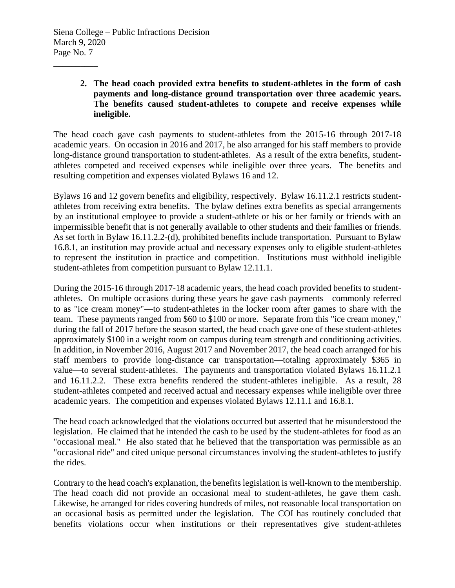\_\_\_\_\_\_\_\_\_\_

**2. The head coach provided extra benefits to student-athletes in the form of cash payments and long-distance ground transportation over three academic years. The benefits caused student-athletes to compete and receive expenses while ineligible.** 

The head coach gave cash payments to student-athletes from the 2015-16 through 2017-18 academic years. On occasion in 2016 and 2017, he also arranged for his staff members to provide long-distance ground transportation to student-athletes. As a result of the extra benefits, studentathletes competed and received expenses while ineligible over three years. The benefits and resulting competition and expenses violated Bylaws 16 and 12.

Bylaws 16 and 12 govern benefits and eligibility, respectively. Bylaw 16.11.2.1 restricts studentathletes from receiving extra benefits. The bylaw defines extra benefits as special arrangements by an institutional employee to provide a student-athlete or his or her family or friends with an impermissible benefit that is not generally available to other students and their families or friends. As set forth in Bylaw 16.11.2.2-(d), prohibited benefits include transportation. Pursuant to Bylaw 16.8.1, an institution may provide actual and necessary expenses only to eligible student-athletes to represent the institution in practice and competition. Institutions must withhold ineligible student-athletes from competition pursuant to Bylaw 12.11.1.

During the 2015-16 through 2017-18 academic years, the head coach provided benefits to studentathletes. On multiple occasions during these years he gave cash payments—commonly referred to as "ice cream money"—to student-athletes in the locker room after games to share with the team. These payments ranged from \$60 to \$100 or more. Separate from this "ice cream money," during the fall of 2017 before the season started, the head coach gave one of these student-athletes approximately \$100 in a weight room on campus during team strength and conditioning activities. In addition, in November 2016, August 2017 and November 2017, the head coach arranged for his staff members to provide long-distance car transportation—totaling approximately \$365 in value—to several student-athletes. The payments and transportation violated Bylaws 16.11.2.1 and 16.11.2.2. These extra benefits rendered the student-athletes ineligible. As a result, 28 student-athletes competed and received actual and necessary expenses while ineligible over three academic years. The competition and expenses violated Bylaws 12.11.1 and 16.8.1.

The head coach acknowledged that the violations occurred but asserted that he misunderstood the legislation. He claimed that he intended the cash to be used by the student-athletes for food as an "occasional meal." He also stated that he believed that the transportation was permissible as an "occasional ride" and cited unique personal circumstances involving the student-athletes to justify the rides.

Contrary to the head coach's explanation, the benefits legislation is well-known to the membership. The head coach did not provide an occasional meal to student-athletes, he gave them cash. Likewise, he arranged for rides covering hundreds of miles, not reasonable local transportation on an occasional basis as permitted under the legislation. The COI has routinely concluded that benefits violations occur when institutions or their representatives give student-athletes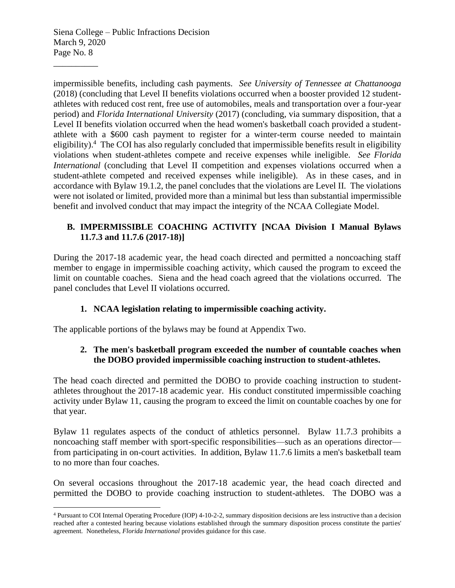\_\_\_\_\_\_\_\_\_\_

impermissible benefits, including cash payments. *See University of Tennessee at Chattanooga* (2018) (concluding that Level II benefits violations occurred when a booster provided 12 studentathletes with reduced cost rent, free use of automobiles, meals and transportation over a four-year period) and *Florida International University* (2017) (concluding, via summary disposition, that a Level II benefits violation occurred when the head women's basketball coach provided a studentathlete with a \$600 cash payment to register for a winter-term course needed to maintain eligibility).<sup>4</sup> The COI has also regularly concluded that impermissible benefits result in eligibility violations when student-athletes compete and receive expenses while ineligible. *See Florida International* (concluding that Level II competition and expenses violations occurred when a student-athlete competed and received expenses while ineligible). As in these cases, and in accordance with Bylaw 19.1.2, the panel concludes that the violations are Level II. The violations were not isolated or limited, provided more than a minimal but less than substantial impermissible benefit and involved conduct that may impact the integrity of the NCAA Collegiate Model.

## **B. IMPERMISSIBLE COACHING ACTIVITY [NCAA Division I Manual Bylaws 11.7.3 and 11.7.6 (2017-18)]**

During the 2017-18 academic year, the head coach directed and permitted a noncoaching staff member to engage in impermissible coaching activity, which caused the program to exceed the limit on countable coaches. Siena and the head coach agreed that the violations occurred. The panel concludes that Level II violations occurred.

# **1. NCAA legislation relating to impermissible coaching activity.**

The applicable portions of the bylaws may be found at Appendix Two.

# **2. The men's basketball program exceeded the number of countable coaches when the DOBO provided impermissible coaching instruction to student-athletes.**

The head coach directed and permitted the DOBO to provide coaching instruction to studentathletes throughout the 2017-18 academic year. His conduct constituted impermissible coaching activity under Bylaw 11, causing the program to exceed the limit on countable coaches by one for that year.

Bylaw 11 regulates aspects of the conduct of athletics personnel. Bylaw 11.7.3 prohibits a noncoaching staff member with sport-specific responsibilities—such as an operations director from participating in on-court activities. In addition, Bylaw 11.7.6 limits a men's basketball team to no more than four coaches.

On several occasions throughout the 2017-18 academic year, the head coach directed and permitted the DOBO to provide coaching instruction to student-athletes. The DOBO was a

<sup>4</sup> Pursuant to COI Internal Operating Procedure (IOP) 4-10-2-2, summary disposition decisions are less instructive than a decision reached after a contested hearing because violations established through the summary disposition process constitute the parties' agreement. Nonetheless, *Florida International* provides guidance for this case.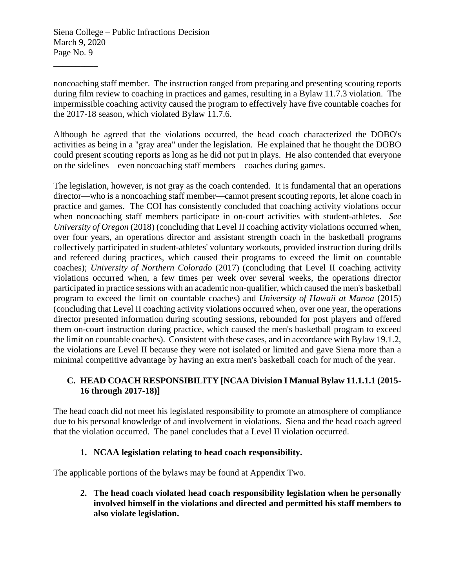\_\_\_\_\_\_\_\_\_\_

noncoaching staff member. The instruction ranged from preparing and presenting scouting reports during film review to coaching in practices and games, resulting in a Bylaw 11.7.3 violation. The impermissible coaching activity caused the program to effectively have five countable coaches for the 2017-18 season, which violated Bylaw 11.7.6.

Although he agreed that the violations occurred, the head coach characterized the DOBO's activities as being in a "gray area" under the legislation. He explained that he thought the DOBO could present scouting reports as long as he did not put in plays. He also contended that everyone on the sidelines—even noncoaching staff members—coaches during games.

The legislation, however, is not gray as the coach contended. It is fundamental that an operations director—who is a noncoaching staff member—cannot present scouting reports, let alone coach in practice and games. The COI has consistently concluded that coaching activity violations occur when noncoaching staff members participate in on-court activities with student-athletes. *See University of Oregon* (2018) (concluding that Level II coaching activity violations occurred when, over four years, an operations director and assistant strength coach in the basketball programs collectively participated in student-athletes' voluntary workouts, provided instruction during drills and refereed during practices, which caused their programs to exceed the limit on countable coaches); *University of Northern Colorado* (2017) (concluding that Level II coaching activity violations occurred when, a few times per week over several weeks, the operations director participated in practice sessions with an academic non-qualifier, which caused the men's basketball program to exceed the limit on countable coaches) and *University of Hawaii at Manoa* (2015) (concluding that Level II coaching activity violations occurred when, over one year, the operations director presented information during scouting sessions, rebounded for post players and offered them on-court instruction during practice, which caused the men's basketball program to exceed the limit on countable coaches). Consistent with these cases, and in accordance with Bylaw 19.1.2, the violations are Level II because they were not isolated or limited and gave Siena more than a minimal competitive advantage by having an extra men's basketball coach for much of the year.

## **C. HEAD COACH RESPONSIBILITY [NCAA Division I Manual Bylaw 11.1.1.1 (2015- 16 through 2017-18)]**

The head coach did not meet his legislated responsibility to promote an atmosphere of compliance due to his personal knowledge of and involvement in violations. Siena and the head coach agreed that the violation occurred. The panel concludes that a Level II violation occurred.

## **1. NCAA legislation relating to head coach responsibility.**

The applicable portions of the bylaws may be found at Appendix Two.

**2. The head coach violated head coach responsibility legislation when he personally involved himself in the violations and directed and permitted his staff members to also violate legislation.**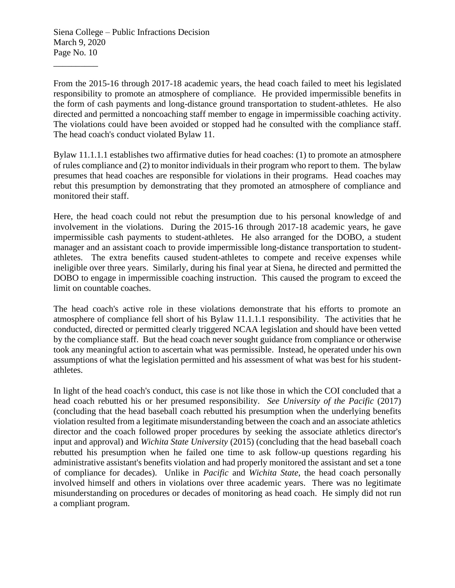\_\_\_\_\_\_\_\_\_\_

From the 2015-16 through 2017-18 academic years, the head coach failed to meet his legislated responsibility to promote an atmosphere of compliance. He provided impermissible benefits in the form of cash payments and long-distance ground transportation to student-athletes. He also directed and permitted a noncoaching staff member to engage in impermissible coaching activity. The violations could have been avoided or stopped had he consulted with the compliance staff. The head coach's conduct violated Bylaw 11.

Bylaw 11.1.1.1 establishes two affirmative duties for head coaches: (1) to promote an atmosphere of rules compliance and (2) to monitor individuals in their program who report to them. The bylaw presumes that head coaches are responsible for violations in their programs. Head coaches may rebut this presumption by demonstrating that they promoted an atmosphere of compliance and monitored their staff.

Here, the head coach could not rebut the presumption due to his personal knowledge of and involvement in the violations. During the 2015-16 through 2017-18 academic years, he gave impermissible cash payments to student-athletes. He also arranged for the DOBO, a student manager and an assistant coach to provide impermissible long-distance transportation to studentathletes. The extra benefits caused student-athletes to compete and receive expenses while ineligible over three years. Similarly, during his final year at Siena, he directed and permitted the DOBO to engage in impermissible coaching instruction. This caused the program to exceed the limit on countable coaches.

The head coach's active role in these violations demonstrate that his efforts to promote an atmosphere of compliance fell short of his Bylaw 11.1.1.1 responsibility. The activities that he conducted, directed or permitted clearly triggered NCAA legislation and should have been vetted by the compliance staff. But the head coach never sought guidance from compliance or otherwise took any meaningful action to ascertain what was permissible. Instead, he operated under his own assumptions of what the legislation permitted and his assessment of what was best for his studentathletes.

In light of the head coach's conduct, this case is not like those in which the COI concluded that a head coach rebutted his or her presumed responsibility. *See University of the Pacific* (2017) (concluding that the head baseball coach rebutted his presumption when the underlying benefits violation resulted from a legitimate misunderstanding between the coach and an associate athletics director and the coach followed proper procedures by seeking the associate athletics director's input and approval) and *Wichita State University* (2015) (concluding that the head baseball coach rebutted his presumption when he failed one time to ask follow-up questions regarding his administrative assistant's benefits violation and had properly monitored the assistant and set a tone of compliance for decades). Unlike in *Pacific* and *Wichita State*, the head coach personally involved himself and others in violations over three academic years. There was no legitimate misunderstanding on procedures or decades of monitoring as head coach. He simply did not run a compliant program.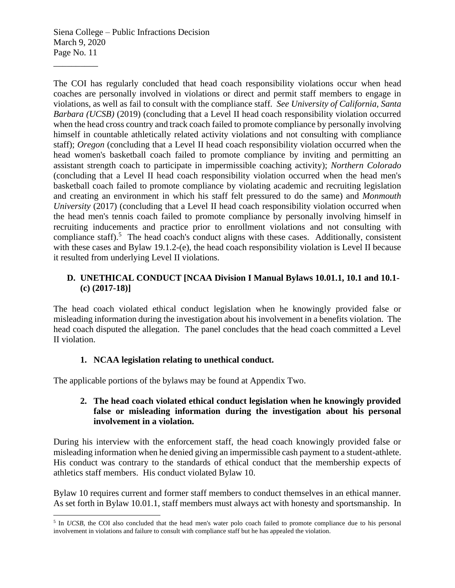\_\_\_\_\_\_\_\_\_\_

The COI has regularly concluded that head coach responsibility violations occur when head coaches are personally involved in violations or direct and permit staff members to engage in violations, as well as fail to consult with the compliance staff. *See University of California, Santa Barbara (UCSB)* (2019) (concluding that a Level II head coach responsibility violation occurred when the head cross country and track coach failed to promote compliance by personally involving himself in countable athletically related activity violations and not consulting with compliance staff); *Oregon* (concluding that a Level II head coach responsibility violation occurred when the head women's basketball coach failed to promote compliance by inviting and permitting an assistant strength coach to participate in impermissible coaching activity); *Northern Colorado* (concluding that a Level II head coach responsibility violation occurred when the head men's basketball coach failed to promote compliance by violating academic and recruiting legislation and creating an environment in which his staff felt pressured to do the same) and *Monmouth University* (2017) (concluding that a Level II head coach responsibility violation occurred when the head men's tennis coach failed to promote compliance by personally involving himself in recruiting inducements and practice prior to enrollment violations and not consulting with compliance staff).<sup>5</sup> The head coach's conduct aligns with these cases. Additionally, consistent with these cases and Bylaw 19.1.2-(e), the head coach responsibility violation is Level II because it resulted from underlying Level II violations.

## **D. UNETHICAL CONDUCT [NCAA Division I Manual Bylaws 10.01.1, 10.1 and 10.1- (c) (2017-18)]**

The head coach violated ethical conduct legislation when he knowingly provided false or misleading information during the investigation about his involvement in a benefits violation. The head coach disputed the allegation. The panel concludes that the head coach committed a Level II violation.

## **1. NCAA legislation relating to unethical conduct.**

The applicable portions of the bylaws may be found at Appendix Two.

## **2. The head coach violated ethical conduct legislation when he knowingly provided false or misleading information during the investigation about his personal involvement in a violation.**

During his interview with the enforcement staff, the head coach knowingly provided false or misleading information when he denied giving an impermissible cash payment to a student-athlete. His conduct was contrary to the standards of ethical conduct that the membership expects of athletics staff members. His conduct violated Bylaw 10.

Bylaw 10 requires current and former staff members to conduct themselves in an ethical manner. As set forth in Bylaw 10.01.1, staff members must always act with honesty and sportsmanship. In

<sup>&</sup>lt;sup>5</sup> In *UCSB*, the COI also concluded that the head men's water polo coach failed to promote compliance due to his personal involvement in violations and failure to consult with compliance staff but he has appealed the violation.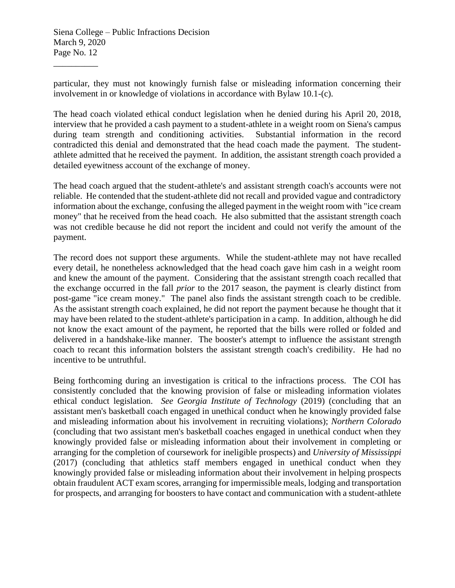\_\_\_\_\_\_\_\_\_\_

particular, they must not knowingly furnish false or misleading information concerning their involvement in or knowledge of violations in accordance with Bylaw 10.1-(c).

The head coach violated ethical conduct legislation when he denied during his April 20, 2018, interview that he provided a cash payment to a student-athlete in a weight room on Siena's campus during team strength and conditioning activities. Substantial information in the record contradicted this denial and demonstrated that the head coach made the payment. The studentathlete admitted that he received the payment. In addition, the assistant strength coach provided a detailed eyewitness account of the exchange of money.

The head coach argued that the student-athlete's and assistant strength coach's accounts were not reliable. He contended that the student-athlete did not recall and provided vague and contradictory information about the exchange, confusing the alleged payment in the weight room with "ice cream money" that he received from the head coach. He also submitted that the assistant strength coach was not credible because he did not report the incident and could not verify the amount of the payment.

The record does not support these arguments. While the student-athlete may not have recalled every detail, he nonetheless acknowledged that the head coach gave him cash in a weight room and knew the amount of the payment. Considering that the assistant strength coach recalled that the exchange occurred in the fall *prior* to the 2017 season, the payment is clearly distinct from post-game "ice cream money." The panel also finds the assistant strength coach to be credible. As the assistant strength coach explained, he did not report the payment because he thought that it may have been related to the student-athlete's participation in a camp. In addition, although he did not know the exact amount of the payment, he reported that the bills were rolled or folded and delivered in a handshake-like manner. The booster's attempt to influence the assistant strength coach to recant this information bolsters the assistant strength coach's credibility. He had no incentive to be untruthful.

Being forthcoming during an investigation is critical to the infractions process. The COI has consistently concluded that the knowing provision of false or misleading information violates ethical conduct legislation. *See Georgia Institute of Technology* (2019) (concluding that an assistant men's basketball coach engaged in unethical conduct when he knowingly provided false and misleading information about his involvement in recruiting violations); *Northern Colorado*  (concluding that two assistant men's basketball coaches engaged in unethical conduct when they knowingly provided false or misleading information about their involvement in completing or arranging for the completion of coursework for ineligible prospects) and *University of Mississippi*  (2017) (concluding that athletics staff members engaged in unethical conduct when they knowingly provided false or misleading information about their involvement in helping prospects obtain fraudulent ACT exam scores, arranging for impermissible meals, lodging and transportation for prospects, and arranging for boosters to have contact and communication with a student-athlete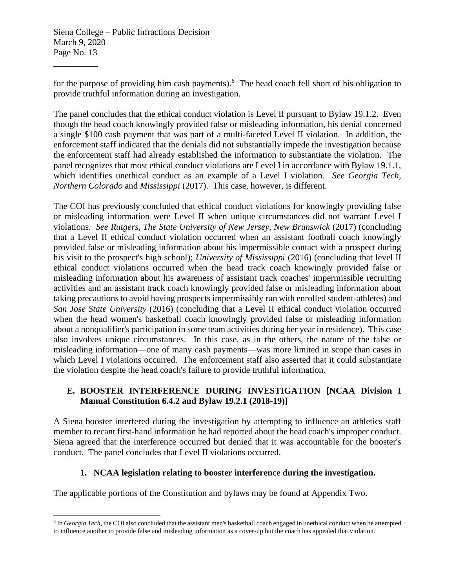\_\_\_\_\_\_\_\_\_\_

for the purpose of providing him cash payments).<sup>6</sup> The head coach fell short of his obligation to provide truthful information during an investigation.

The panel concludes that the ethical conduct violation is Level II pursuant to Bylaw 19.1.2. Even though the head coach knowingly provided false or misleading information, his denial concerned a single \$100 cash payment that was part of a multi-faceted Level II violation. In addition, the enforcement staff indicated that the denials did not substantially impede the investigation because the enforcement staff had already established the information to substantiate the violation. The panel recognizes that most ethical conduct violations are Level I in accordance with Bylaw 19.1.1, which identifies unethical conduct as an example of a Level I violation. *See Georgia Tech*, *Northern Colorado* and *Mississippi* (2017). This case, however, is different.

The COI has previously concluded that ethical conduct violations for knowingly providing false or misleading information were Level II when unique circumstances did not warrant Level I violations. *See Rutgers, The State University of New Jersey, New Brunswick* (2017) (concluding that a Level II ethical conduct violation occurred when an assistant football coach knowingly provided false or misleading information about his impermissible contact with a prospect during his visit to the prospect's high school); *University of Mississippi* (2016) (concluding that level II ethical conduct violations occurred when the head track coach knowingly provided false or misleading information about his awareness of assistant track coaches' impermissible recruiting activities and an assistant track coach knowingly provided false or misleading information about taking precautions to avoid having prospects impermissibly run with enrolled student-athletes) and *San Jose State University* (2016) (concluding that a Level II ethical conduct violation occurred when the head women's basketball coach knowingly provided false or misleading information about a nonqualifier's participation in some team activities during her year in residence). This case also involves unique circumstances. In this case, as in the others, the nature of the false or misleading information—one of many cash payments—was more limited in scope than cases in which Level I violations occurred. The enforcement staff also asserted that it could substantiate the violation despite the head coach's failure to provide truthful information.

## **E. BOOSTER INTERFERENCE DURING INVESTIGATION [NCAA Division I Manual Constitution 6.4.2 and Bylaw 19.2.1 (2018-19)]**

A Siena booster interfered during the investigation by attempting to influence an athletics staff member to recant first-hand information he had reported about the head coach's improper conduct. Siena agreed that the interference occurred but denied that it was accountable for the booster's conduct. The panel concludes that Level II violations occurred.

## **1. NCAA legislation relating to booster interference during the investigation.**

The applicable portions of the Constitution and bylaws may be found at Appendix Two.

<sup>6</sup> In *Georgia Tech*, the COI also concluded that the assistant men's basketball coach engaged in unethical conduct when he attempted to influence another to provide false and misleading information as a cover-up but the coach has appealed that violation.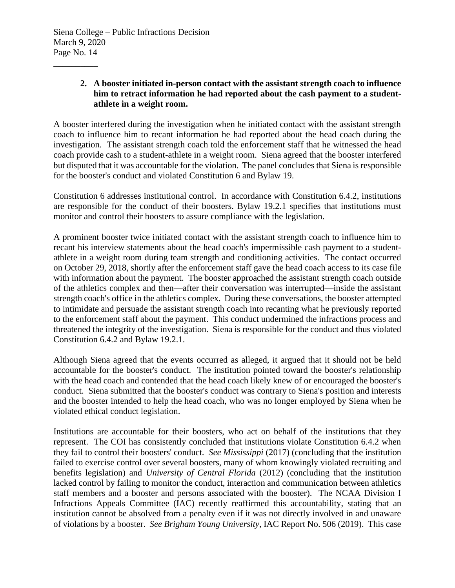\_\_\_\_\_\_\_\_\_\_

## **2. A booster initiated in-person contact with the assistant strength coach to influence him to retract information he had reported about the cash payment to a studentathlete in a weight room.**

A booster interfered during the investigation when he initiated contact with the assistant strength coach to influence him to recant information he had reported about the head coach during the investigation. The assistant strength coach told the enforcement staff that he witnessed the head coach provide cash to a student-athlete in a weight room. Siena agreed that the booster interfered but disputed that it was accountable for the violation. The panel concludes that Siena is responsible for the booster's conduct and violated Constitution 6 and Bylaw 19.

Constitution 6 addresses institutional control. In accordance with Constitution 6.4.2, institutions are responsible for the conduct of their boosters. Bylaw 19.2.1 specifies that institutions must monitor and control their boosters to assure compliance with the legislation.

A prominent booster twice initiated contact with the assistant strength coach to influence him to recant his interview statements about the head coach's impermissible cash payment to a studentathlete in a weight room during team strength and conditioning activities. The contact occurred on October 29, 2018, shortly after the enforcement staff gave the head coach access to its case file with information about the payment. The booster approached the assistant strength coach outside of the athletics complex and then—after their conversation was interrupted—inside the assistant strength coach's office in the athletics complex. During these conversations, the booster attempted to intimidate and persuade the assistant strength coach into recanting what he previously reported to the enforcement staff about the payment. This conduct undermined the infractions process and threatened the integrity of the investigation. Siena is responsible for the conduct and thus violated Constitution 6.4.2 and Bylaw 19.2.1.

Although Siena agreed that the events occurred as alleged, it argued that it should not be held accountable for the booster's conduct. The institution pointed toward the booster's relationship with the head coach and contended that the head coach likely knew of or encouraged the booster's conduct. Siena submitted that the booster's conduct was contrary to Siena's position and interests and the booster intended to help the head coach, who was no longer employed by Siena when he violated ethical conduct legislation.

Institutions are accountable for their boosters, who act on behalf of the institutions that they represent. The COI has consistently concluded that institutions violate Constitution 6.4.2 when they fail to control their boosters' conduct. *See Mississippi* (2017) (concluding that the institution failed to exercise control over several boosters, many of whom knowingly violated recruiting and benefits legislation) and *University of Central Florida* (2012) (concluding that the institution lacked control by failing to monitor the conduct, interaction and communication between athletics staff members and a booster and persons associated with the booster). The NCAA Division I Infractions Appeals Committee (IAC) recently reaffirmed this accountability, stating that an institution cannot be absolved from a penalty even if it was not directly involved in and unaware of violations by a booster. *See Brigham Young University*, IAC Report No. 506 (2019). This case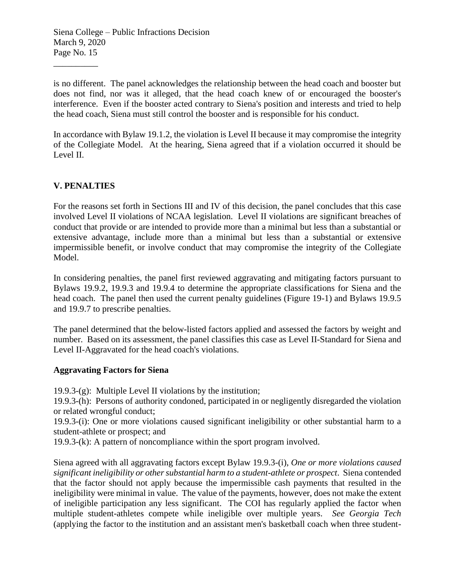is no different. The panel acknowledges the relationship between the head coach and booster but does not find, nor was it alleged, that the head coach knew of or encouraged the booster's interference. Even if the booster acted contrary to Siena's position and interests and tried to help the head coach, Siena must still control the booster and is responsible for his conduct.

In accordance with Bylaw 19.1.2, the violation is Level II because it may compromise the integrity of the Collegiate Model. At the hearing, Siena agreed that if a violation occurred it should be Level II.

# **V. PENALTIES**

\_\_\_\_\_\_\_\_\_\_

For the reasons set forth in Sections III and IV of this decision, the panel concludes that this case involved Level II violations of NCAA legislation. Level II violations are significant breaches of conduct that provide or are intended to provide more than a minimal but less than a substantial or extensive advantage, include more than a minimal but less than a substantial or extensive impermissible benefit, or involve conduct that may compromise the integrity of the Collegiate Model.

In considering penalties, the panel first reviewed aggravating and mitigating factors pursuant to Bylaws 19.9.2, 19.9.3 and 19.9.4 to determine the appropriate classifications for Siena and the head coach. The panel then used the current penalty guidelines (Figure 19-1) and Bylaws 19.9.5 and 19.9.7 to prescribe penalties.

The panel determined that the below-listed factors applied and assessed the factors by weight and number. Based on its assessment, the panel classifies this case as Level II-Standard for Siena and Level II-Aggravated for the head coach's violations.

#### **Aggravating Factors for Siena**

19.9.3-(g): Multiple Level II violations by the institution;

19.9.3-(h): Persons of authority condoned, participated in or negligently disregarded the violation or related wrongful conduct;

19.9.3-(i): One or more violations caused significant ineligibility or other substantial harm to a student-athlete or prospect; and

19.9.3-(k): A pattern of noncompliance within the sport program involved.

Siena agreed with all aggravating factors except Bylaw 19.9.3-(i), *One or more violations caused significant ineligibility or other substantial harm to a student-athlete or prospect*. Siena contended that the factor should not apply because the impermissible cash payments that resulted in the ineligibility were minimal in value. The value of the payments, however, does not make the extent of ineligible participation any less significant. The COI has regularly applied the factor when multiple student-athletes compete while ineligible over multiple years. *See Georgia Tech* (applying the factor to the institution and an assistant men's basketball coach when three student-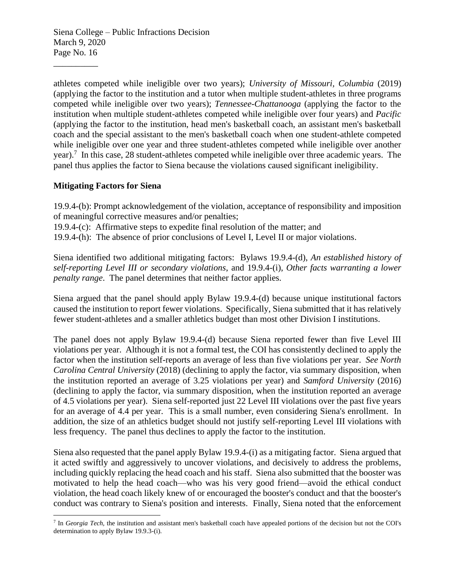athletes competed while ineligible over two years); *University of Missouri, Columbia* (2019) (applying the factor to the institution and a tutor when multiple student-athletes in three programs competed while ineligible over two years); *Tennessee-Chattanooga* (applying the factor to the institution when multiple student-athletes competed while ineligible over four years) and *Pacific*  (applying the factor to the institution, head men's basketball coach, an assistant men's basketball coach and the special assistant to the men's basketball coach when one student-athlete competed while ineligible over one year and three student-athletes competed while ineligible over another year).<sup>7</sup> In this case, 28 student-athletes competed while ineligible over three academic years. The panel thus applies the factor to Siena because the violations caused significant ineligibility.

## **Mitigating Factors for Siena**

\_\_\_\_\_\_\_\_\_\_

19.9.4-(b): Prompt acknowledgement of the violation, acceptance of responsibility and imposition of meaningful corrective measures and/or penalties;

19.9.4-(c): Affirmative steps to expedite final resolution of the matter; and

19.9.4-(h): The absence of prior conclusions of Level I, Level II or major violations.

Siena identified two additional mitigating factors: Bylaws 19.9.4-(d), *An established history of self-reporting Level III or secondary violations*, and 19.9.4-(i), *Other facts warranting a lower penalty range*. The panel determines that neither factor applies.

Siena argued that the panel should apply Bylaw 19.9.4-(d) because unique institutional factors caused the institution to report fewer violations. Specifically, Siena submitted that it has relatively fewer student-athletes and a smaller athletics budget than most other Division I institutions.

The panel does not apply Bylaw 19.9.4-(d) because Siena reported fewer than five Level III violations per year. Although it is not a formal test, the COI has consistently declined to apply the factor when the institution self-reports an average of less than five violations per year. *See North Carolina Central University* (2018) (declining to apply the factor, via summary disposition, when the institution reported an average of 3.25 violations per year) and *Samford University* (2016) (declining to apply the factor, via summary disposition, when the institution reported an average of 4.5 violations per year). Siena self-reported just 22 Level III violations over the past five years for an average of 4.4 per year. This is a small number, even considering Siena's enrollment. In addition, the size of an athletics budget should not justify self-reporting Level III violations with less frequency. The panel thus declines to apply the factor to the institution.

Siena also requested that the panel apply Bylaw 19.9.4-(i) as a mitigating factor. Siena argued that it acted swiftly and aggressively to uncover violations, and decisively to address the problems, including quickly replacing the head coach and his staff. Siena also submitted that the booster was motivated to help the head coach—who was his very good friend—avoid the ethical conduct violation, the head coach likely knew of or encouraged the booster's conduct and that the booster's conduct was contrary to Siena's position and interests. Finally, Siena noted that the enforcement

<sup>&</sup>lt;sup>7</sup> In *Georgia Tech*, the institution and assistant men's basketball coach have appealed portions of the decision but not the COI's determination to apply Bylaw 19.9.3-(i).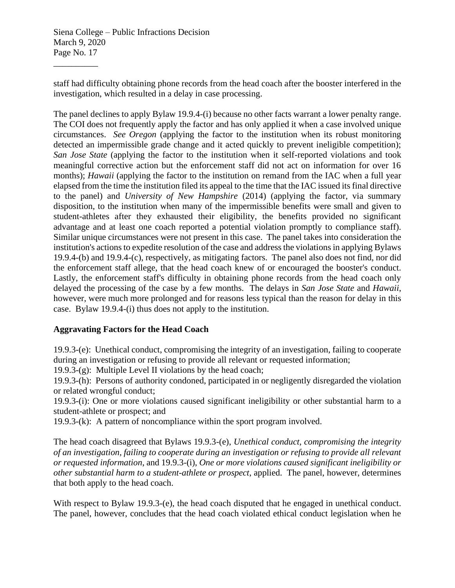\_\_\_\_\_\_\_\_\_\_

staff had difficulty obtaining phone records from the head coach after the booster interfered in the investigation, which resulted in a delay in case processing.

The panel declines to apply Bylaw 19.9.4-(i) because no other facts warrant a lower penalty range. The COI does not frequently apply the factor and has only applied it when a case involved unique circumstances. *See Oregon* (applying the factor to the institution when its robust monitoring detected an impermissible grade change and it acted quickly to prevent ineligible competition); *San Jose State* (applying the factor to the institution when it self-reported violations and took meaningful corrective action but the enforcement staff did not act on information for over 16 months); *Hawaii* (applying the factor to the institution on remand from the IAC when a full year elapsed from the time the institution filed its appeal to the time that the IAC issued its final directive to the panel) and *University of New Hampshire* (2014) (applying the factor, via summary disposition, to the institution when many of the impermissible benefits were small and given to student-athletes after they exhausted their eligibility, the benefits provided no significant advantage and at least one coach reported a potential violation promptly to compliance staff). Similar unique circumstances were not present in this case. The panel takes into consideration the institution's actions to expedite resolution of the case and address the violations in applying Bylaws 19.9.4-(b) and 19.9.4-(c), respectively, as mitigating factors. The panel also does not find, nor did the enforcement staff allege, that the head coach knew of or encouraged the booster's conduct. Lastly, the enforcement staff's difficulty in obtaining phone records from the head coach only delayed the processing of the case by a few months. The delays in *San Jose State* and *Hawaii*, however, were much more prolonged and for reasons less typical than the reason for delay in this case. Bylaw 19.9.4-(i) thus does not apply to the institution.

## **Aggravating Factors for the Head Coach**

19.9.3-(e): Unethical conduct, compromising the integrity of an investigation, failing to cooperate during an investigation or refusing to provide all relevant or requested information;

19.9.3- $(g)$ : Multiple Level II violations by the head coach;

19.9.3-(h): Persons of authority condoned, participated in or negligently disregarded the violation or related wrongful conduct;

19.9.3-(i): One or more violations caused significant ineligibility or other substantial harm to a student-athlete or prospect; and

19.9.3-(k): A pattern of noncompliance within the sport program involved.

The head coach disagreed that Bylaws 19.9.3-(e), *Unethical conduct, compromising the integrity of an investigation, failing to cooperate during an investigation or refusing to provide all relevant or requested information*, and 19.9.3-(i), *One or more violations caused significant ineligibility or other substantial harm to a student-athlete or prospect*, applied. The panel, however, determines that both apply to the head coach.

With respect to Bylaw 19.9.3-(e), the head coach disputed that he engaged in unethical conduct. The panel, however, concludes that the head coach violated ethical conduct legislation when he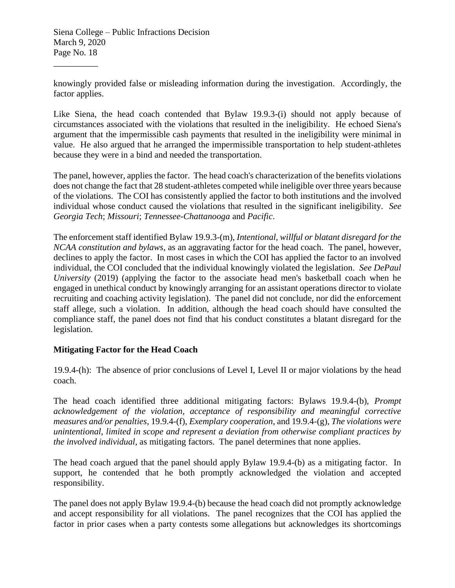\_\_\_\_\_\_\_\_\_\_

knowingly provided false or misleading information during the investigation. Accordingly, the factor applies.

Like Siena, the head coach contended that Bylaw 19.9.3-(i) should not apply because of circumstances associated with the violations that resulted in the ineligibility. He echoed Siena's argument that the impermissible cash payments that resulted in the ineligibility were minimal in value. He also argued that he arranged the impermissible transportation to help student-athletes because they were in a bind and needed the transportation.

The panel, however, applies the factor. The head coach's characterization of the benefits violations does not change the fact that 28 student-athletes competed while ineligible over three years because of the violations. The COI has consistently applied the factor to both institutions and the involved individual whose conduct caused the violations that resulted in the significant ineligibility. *See Georgia Tech*; *Missouri*; *Tennessee-Chattanooga* and *Pacific*.

The enforcement staff identified Bylaw 19.9.3-(m), *Intentional, willful or blatant disregard for the NCAA constitution and bylaws*, as an aggravating factor for the head coach. The panel, however, declines to apply the factor. In most cases in which the COI has applied the factor to an involved individual, the COI concluded that the individual knowingly violated the legislation. *See DePaul University* (2019) (applying the factor to the associate head men's basketball coach when he engaged in unethical conduct by knowingly arranging for an assistant operations director to violate recruiting and coaching activity legislation). The panel did not conclude, nor did the enforcement staff allege, such a violation. In addition, although the head coach should have consulted the compliance staff, the panel does not find that his conduct constitutes a blatant disregard for the legislation.

## **Mitigating Factor for the Head Coach**

19.9.4-(h): The absence of prior conclusions of Level I, Level II or major violations by the head coach.

The head coach identified three additional mitigating factors: Bylaws 19.9.4-(b), *Prompt acknowledgement of the violation, acceptance of responsibility and meaningful corrective measures and/or penalties*, 19.9.4-(f), *Exemplary cooperation*, and 19.9.4-(g), *The violations were unintentional, limited in scope and represent a deviation from otherwise compliant practices by the involved individual*, as mitigating factors. The panel determines that none applies.

The head coach argued that the panel should apply Bylaw 19.9.4-(b) as a mitigating factor. In support, he contended that he both promptly acknowledged the violation and accepted responsibility.

The panel does not apply Bylaw 19.9.4-(b) because the head coach did not promptly acknowledge and accept responsibility for all violations. The panel recognizes that the COI has applied the factor in prior cases when a party contests some allegations but acknowledges its shortcomings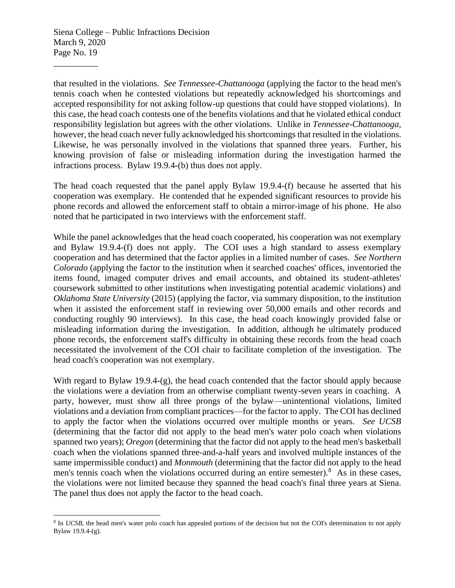\_\_\_\_\_\_\_\_\_\_

that resulted in the violations. *See Tennessee-Chattanooga* (applying the factor to the head men's tennis coach when he contested violations but repeatedly acknowledged his shortcomings and accepted responsibility for not asking follow-up questions that could have stopped violations). In this case, the head coach contests one of the benefits violations and that he violated ethical conduct responsibility legislation but agrees with the other violations. Unlike in *Tennessee-Chattanooga*, however, the head coach never fully acknowledged his shortcomings that resulted in the violations. Likewise, he was personally involved in the violations that spanned three years. Further, his knowing provision of false or misleading information during the investigation harmed the infractions process. Bylaw 19.9.4-(b) thus does not apply.

The head coach requested that the panel apply Bylaw 19.9.4-(f) because he asserted that his cooperation was exemplary. He contended that he expended significant resources to provide his phone records and allowed the enforcement staff to obtain a mirror-image of his phone. He also noted that he participated in two interviews with the enforcement staff.

While the panel acknowledges that the head coach cooperated, his cooperation was not exemplary and Bylaw 19.9.4-(f) does not apply. The COI uses a high standard to assess exemplary cooperation and has determined that the factor applies in a limited number of cases. *See Northern Colorado* (applying the factor to the institution when it searched coaches' offices, inventoried the items found, imaged computer drives and email accounts, and obtained its student-athletes' coursework submitted to other institutions when investigating potential academic violations) and *Oklahoma State University* (2015) (applying the factor, via summary disposition, to the institution when it assisted the enforcement staff in reviewing over 50,000 emails and other records and conducting roughly 90 interviews). In this case, the head coach knowingly provided false or misleading information during the investigation. In addition, although he ultimately produced phone records, the enforcement staff's difficulty in obtaining these records from the head coach necessitated the involvement of the COI chair to facilitate completion of the investigation. The head coach's cooperation was not exemplary.

With regard to Bylaw 19.9.4-(g), the head coach contended that the factor should apply because the violations were a deviation from an otherwise compliant twenty-seven years in coaching. A party, however, must show all three prongs of the bylaw—unintentional violations, limited violations and a deviation from compliant practices—for the factor to apply. The COI has declined to apply the factor when the violations occurred over multiple months or years. *See UCSB* (determining that the factor did not apply to the head men's water polo coach when violations spanned two years); *Oregon* (determining that the factor did not apply to the head men's basketball coach when the violations spanned three-and-a-half years and involved multiple instances of the same impermissible conduct) and *Monmouth* (determining that the factor did not apply to the head men's tennis coach when the violations occurred during an entire semester). $8$  As in these cases, the violations were not limited because they spanned the head coach's final three years at Siena. The panel thus does not apply the factor to the head coach.

<sup>&</sup>lt;sup>8</sup> In *UCSB*, the head men's water polo coach has appealed portions of the decision but not the COI's determination to not apply Bylaw 19.9.4-(g).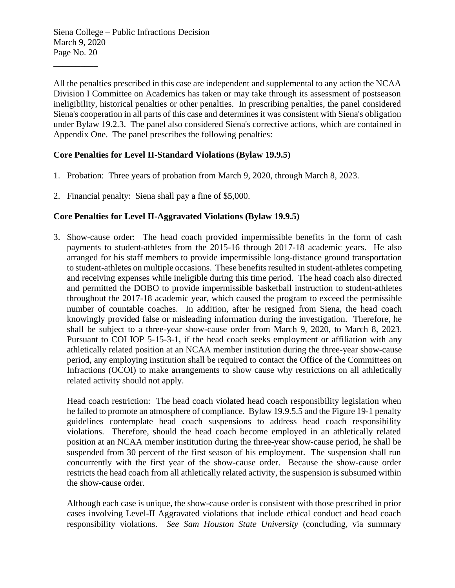\_\_\_\_\_\_\_\_\_\_

All the penalties prescribed in this case are independent and supplemental to any action the NCAA Division I Committee on Academics has taken or may take through its assessment of postseason ineligibility, historical penalties or other penalties. In prescribing penalties, the panel considered Siena's cooperation in all parts of this case and determines it was consistent with Siena's obligation under Bylaw 19.2.3. The panel also considered Siena's corrective actions, which are contained in Appendix One. The panel prescribes the following penalties:

## **Core Penalties for Level II-Standard Violations (Bylaw 19.9.5)**

- 1. Probation: Three years of probation from March 9, 2020, through March 8, 2023.
- 2. Financial penalty: Siena shall pay a fine of \$5,000.

# **Core Penalties for Level II-Aggravated Violations (Bylaw 19.9.5)**

3. Show-cause order: The head coach provided impermissible benefits in the form of cash payments to student-athletes from the 2015-16 through 2017-18 academic years. He also arranged for his staff members to provide impermissible long-distance ground transportation to student-athletes on multiple occasions. These benefits resulted in student-athletes competing and receiving expenses while ineligible during this time period. The head coach also directed and permitted the DOBO to provide impermissible basketball instruction to student-athletes throughout the 2017-18 academic year, which caused the program to exceed the permissible number of countable coaches. In addition, after he resigned from Siena, the head coach knowingly provided false or misleading information during the investigation. Therefore, he shall be subject to a three-year show-cause order from March 9, 2020, to March 8, 2023. Pursuant to COI IOP 5-15-3-1, if the head coach seeks employment or affiliation with any athletically related position at an NCAA member institution during the three-year show-cause period, any employing institution shall be required to contact the Office of the Committees on Infractions (OCOI) to make arrangements to show cause why restrictions on all athletically related activity should not apply.

Head coach restriction: The head coach violated head coach responsibility legislation when he failed to promote an atmosphere of compliance. Bylaw 19.9.5.5 and the Figure 19-1 penalty guidelines contemplate head coach suspensions to address head coach responsibility violations. Therefore, should the head coach become employed in an athletically related position at an NCAA member institution during the three-year show-cause period, he shall be suspended from 30 percent of the first season of his employment. The suspension shall run concurrently with the first year of the show-cause order. Because the show-cause order restricts the head coach from all athletically related activity, the suspension is subsumed within the show-cause order.

Although each case is unique, the show-cause order is consistent with those prescribed in prior cases involving Level-II Aggravated violations that include ethical conduct and head coach responsibility violations. *See Sam Houston State University* (concluding, via summary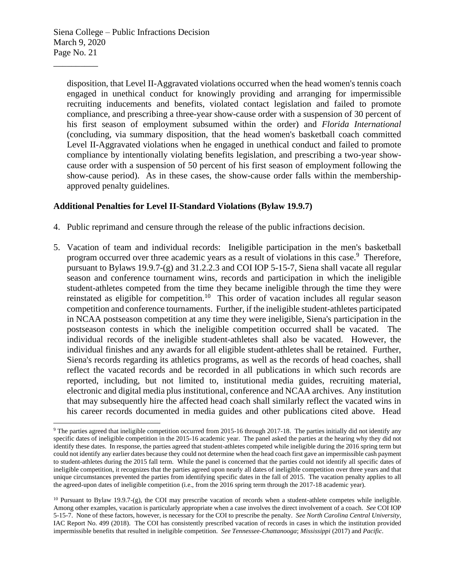\_\_\_\_\_\_\_\_\_\_

disposition, that Level II-Aggravated violations occurred when the head women's tennis coach engaged in unethical conduct for knowingly providing and arranging for impermissible recruiting inducements and benefits, violated contact legislation and failed to promote compliance, and prescribing a three-year show-cause order with a suspension of 30 percent of his first season of employment subsumed within the order) and *Florida International* (concluding, via summary disposition, that the head women's basketball coach committed Level II-Aggravated violations when he engaged in unethical conduct and failed to promote compliance by intentionally violating benefits legislation, and prescribing a two-year showcause order with a suspension of 50 percent of his first season of employment following the show-cause period). As in these cases, the show-cause order falls within the membershipapproved penalty guidelines.

### **Additional Penalties for Level II-Standard Violations (Bylaw 19.9.7)**

- 4. Public reprimand and censure through the release of the public infractions decision.
- 5. Vacation of team and individual records: Ineligible participation in the men's basketball program occurred over three academic years as a result of violations in this case.<sup>9</sup> Therefore, pursuant to Bylaws 19.9.7-(g) and 31.2.2.3 and COI IOP 5-15-7, Siena shall vacate all regular season and conference tournament wins, records and participation in which the ineligible student-athletes competed from the time they became ineligible through the time they were reinstated as eligible for competition.<sup>10</sup> This order of vacation includes all regular season competition and conference tournaments. Further, if the ineligible student-athletes participated in NCAA postseason competition at any time they were ineligible, Siena's participation in the postseason contests in which the ineligible competition occurred shall be vacated. The individual records of the ineligible student-athletes shall also be vacated. However, the individual finishes and any awards for all eligible student-athletes shall be retained. Further, Siena's records regarding its athletics programs, as well as the records of head coaches, shall reflect the vacated records and be recorded in all publications in which such records are reported, including, but not limited to, institutional media guides, recruiting material, electronic and digital media plus institutional, conference and NCAA archives. Any institution that may subsequently hire the affected head coach shall similarly reflect the vacated wins in his career records documented in media guides and other publications cited above. Head

<sup>9</sup> The parties agreed that ineligible competition occurred from 2015-16 through 2017-18. The parties initially did not identify any specific dates of ineligible competition in the 2015-16 academic year. The panel asked the parties at the hearing why they did not identify these dates. In response, the parties agreed that student-athletes competed while ineligible during the 2016 spring term but could not identify any earlier dates because they could not determine when the head coach first gave an impermissible cash payment to student-athletes during the 2015 fall term. While the panel is concerned that the parties could not identify all specific dates of ineligible competition, it recognizes that the parties agreed upon nearly all dates of ineligible competition over three years and that unique circumstances prevented the parties from identifying specific dates in the fall of 2015. The vacation penalty applies to all the agreed-upon dates of ineligible competition (i.e., from the 2016 spring term through the 2017-18 academic year).

 $10$  Pursuant to Bylaw 19.9.7-(g), the COI may prescribe vacation of records when a student-athlete competes while ineligible. Among other examples, vacation is particularly appropriate when a case involves the direct involvement of a coach. *See* COI IOP 5-15-7. None of these factors, however, is necessary for the COI to prescribe the penalty. *See North Carolina Central University*, IAC Report No. 499 (2018). The COI has consistently prescribed vacation of records in cases in which the institution provided impermissible benefits that resulted in ineligible competition. *See Tennessee-Chattanooga*; *Mississippi* (2017) and *Pacific*.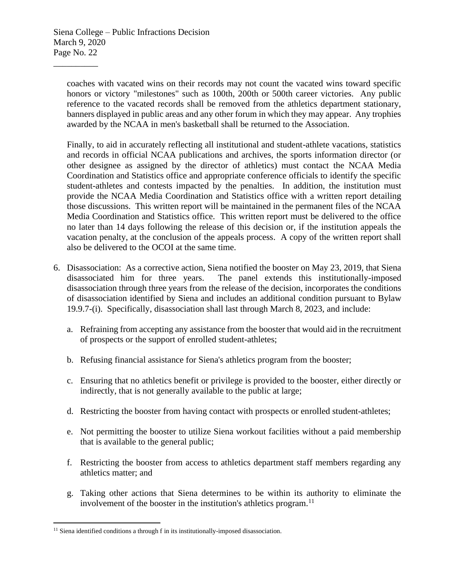\_\_\_\_\_\_\_\_\_\_

coaches with vacated wins on their records may not count the vacated wins toward specific honors or victory "milestones" such as 100th, 200th or 500th career victories. Any public reference to the vacated records shall be removed from the athletics department stationary, banners displayed in public areas and any other forum in which they may appear. Any trophies awarded by the NCAA in men's basketball shall be returned to the Association.

Finally, to aid in accurately reflecting all institutional and student-athlete vacations, statistics and records in official NCAA publications and archives, the sports information director (or other designee as assigned by the director of athletics) must contact the NCAA Media Coordination and Statistics office and appropriate conference officials to identify the specific student-athletes and contests impacted by the penalties. In addition, the institution must provide the NCAA Media Coordination and Statistics office with a written report detailing those discussions. This written report will be maintained in the permanent files of the NCAA Media Coordination and Statistics office. This written report must be delivered to the office no later than 14 days following the release of this decision or, if the institution appeals the vacation penalty, at the conclusion of the appeals process. A copy of the written report shall also be delivered to the OCOI at the same time.

- 6. Disassociation: As a corrective action, Siena notified the booster on May 23, 2019, that Siena disassociated him for three years. The panel extends this institutionally-imposed disassociation through three years from the release of the decision, incorporates the conditions of disassociation identified by Siena and includes an additional condition pursuant to Bylaw 19.9.7-(i). Specifically, disassociation shall last through March 8, 2023, and include:
	- a. Refraining from accepting any assistance from the booster that would aid in the recruitment of prospects or the support of enrolled student-athletes;
	- b. Refusing financial assistance for Siena's athletics program from the booster;
	- c. Ensuring that no athletics benefit or privilege is provided to the booster, either directly or indirectly, that is not generally available to the public at large;
	- d. Restricting the booster from having contact with prospects or enrolled student-athletes;
	- e. Not permitting the booster to utilize Siena workout facilities without a paid membership that is available to the general public;
	- f. Restricting the booster from access to athletics department staff members regarding any athletics matter; and
	- g. Taking other actions that Siena determines to be within its authority to eliminate the involvement of the booster in the institution's athletics program. $<sup>11</sup>$ </sup>

<sup>&</sup>lt;sup>11</sup> Siena identified conditions a through f in its institutionally-imposed disassociation.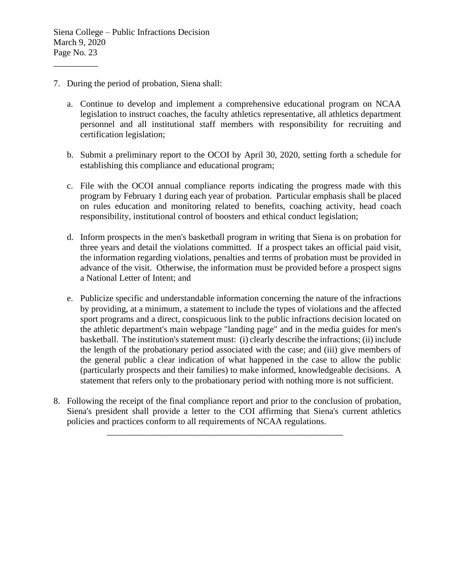- 7. During the period of probation, Siena shall:
	- a. Continue to develop and implement a comprehensive educational program on NCAA legislation to instruct coaches, the faculty athletics representative, all athletics department personnel and all institutional staff members with responsibility for recruiting and certification legislation;
	- b. Submit a preliminary report to the OCOI by April 30, 2020, setting forth a schedule for establishing this compliance and educational program;
	- c. File with the OCOI annual compliance reports indicating the progress made with this program by February 1 during each year of probation. Particular emphasis shall be placed on rules education and monitoring related to benefits, coaching activity, head coach responsibility, institutional control of boosters and ethical conduct legislation;
	- d. Inform prospects in the men's basketball program in writing that Siena is on probation for three years and detail the violations committed. If a prospect takes an official paid visit, the information regarding violations, penalties and terms of probation must be provided in advance of the visit. Otherwise, the information must be provided before a prospect signs a National Letter of Intent; and
	- e. Publicize specific and understandable information concerning the nature of the infractions by providing, at a minimum, a statement to include the types of violations and the affected sport programs and a direct, conspicuous link to the public infractions decision located on the athletic department's main webpage "landing page" and in the media guides for men's basketball. The institution's statement must: (i) clearly describe the infractions; (ii) include the length of the probationary period associated with the case; and (iii) give members of the general public a clear indication of what happened in the case to allow the public (particularly prospects and their families) to make informed, knowledgeable decisions. A statement that refers only to the probationary period with nothing more is not sufficient.
- 8. Following the receipt of the final compliance report and prior to the conclusion of probation, Siena's president shall provide a letter to the COI affirming that Siena's current athletics policies and practices conform to all requirements of NCAA regulations.

\_\_\_\_\_\_\_\_\_\_\_\_\_\_\_\_\_\_\_\_\_\_\_\_\_\_\_\_\_\_\_\_\_\_\_\_\_\_\_\_\_\_\_\_\_\_\_\_\_\_\_\_\_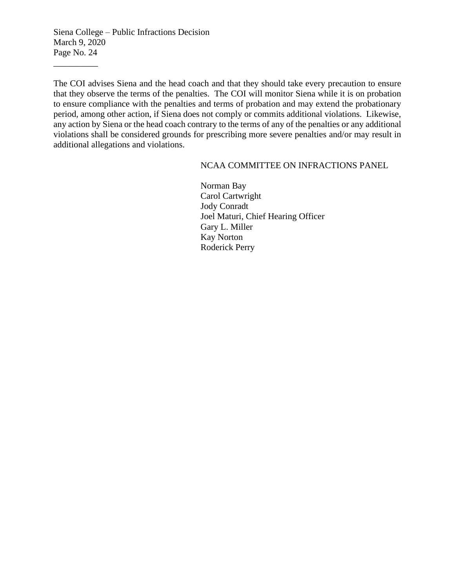\_\_\_\_\_\_\_\_\_\_

The COI advises Siena and the head coach and that they should take every precaution to ensure that they observe the terms of the penalties. The COI will monitor Siena while it is on probation to ensure compliance with the penalties and terms of probation and may extend the probationary period, among other action, if Siena does not comply or commits additional violations. Likewise, any action by Siena or the head coach contrary to the terms of any of the penalties or any additional violations shall be considered grounds for prescribing more severe penalties and/or may result in additional allegations and violations.

#### NCAA COMMITTEE ON INFRACTIONS PANEL

Norman Bay Carol Cartwright Jody Conradt Joel Maturi, Chief Hearing Officer Gary L. Miller Kay Norton Roderick Perry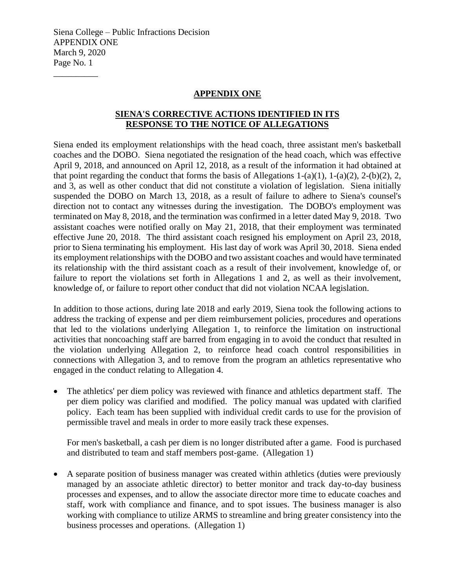\_\_\_\_\_\_\_\_\_\_

#### **APPENDIX ONE**

## **SIENA'S CORRECTIVE ACTIONS IDENTIFIED IN ITS RESPONSE TO THE NOTICE OF ALLEGATIONS**

Siena ended its employment relationships with the head coach, three assistant men's basketball coaches and the DOBO. Siena negotiated the resignation of the head coach, which was effective April 9, 2018, and announced on April 12, 2018, as a result of the information it had obtained at that point regarding the conduct that forms the basis of Allegations 1-(a)(1), 1-(a)(2), 2-(b)(2), 2, and 3, as well as other conduct that did not constitute a violation of legislation. Siena initially suspended the DOBO on March 13, 2018, as a result of failure to adhere to Siena's counsel's direction not to contact any witnesses during the investigation. The DOBO's employment was terminated on May 8, 2018, and the termination was confirmed in a letter dated May 9, 2018. Two assistant coaches were notified orally on May 21, 2018, that their employment was terminated effective June 20, 2018. The third assistant coach resigned his employment on April 23, 2018, prior to Siena terminating his employment. His last day of work was April 30, 2018. Siena ended its employment relationships with the DOBO and two assistant coaches and would have terminated its relationship with the third assistant coach as a result of their involvement, knowledge of, or failure to report the violations set forth in Allegations 1 and 2, as well as their involvement, knowledge of, or failure to report other conduct that did not violation NCAA legislation.

In addition to those actions, during late 2018 and early 2019, Siena took the following actions to address the tracking of expense and per diem reimbursement policies, procedures and operations that led to the violations underlying Allegation 1, to reinforce the limitation on instructional activities that noncoaching staff are barred from engaging in to avoid the conduct that resulted in the violation underlying Allegation 2, to reinforce head coach control responsibilities in connections with Allegation 3, and to remove from the program an athletics representative who engaged in the conduct relating to Allegation 4.

• The athletics' per diem policy was reviewed with finance and athletics department staff. The per diem policy was clarified and modified. The policy manual was updated with clarified policy. Each team has been supplied with individual credit cards to use for the provision of permissible travel and meals in order to more easily track these expenses.

For men's basketball, a cash per diem is no longer distributed after a game. Food is purchased and distributed to team and staff members post-game. (Allegation 1)

• A separate position of business manager was created within athletics (duties were previously managed by an associate athletic director) to better monitor and track day-to-day business processes and expenses, and to allow the associate director more time to educate coaches and staff, work with compliance and finance, and to spot issues. The business manager is also working with compliance to utilize ARMS to streamline and bring greater consistency into the business processes and operations. (Allegation 1)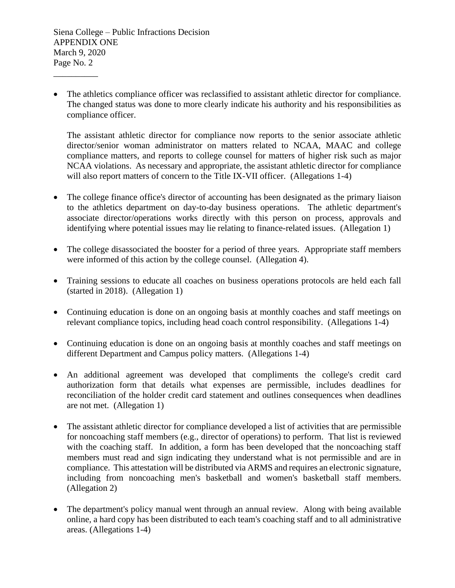\_\_\_\_\_\_\_\_\_\_

• The athletics compliance officer was reclassified to assistant athletic director for compliance. The changed status was done to more clearly indicate his authority and his responsibilities as compliance officer.

The assistant athletic director for compliance now reports to the senior associate athletic director/senior woman administrator on matters related to NCAA, MAAC and college compliance matters, and reports to college counsel for matters of higher risk such as major NCAA violations. As necessary and appropriate, the assistant athletic director for compliance will also report matters of concern to the Title IX-VII officer. (Allegations 1-4)

- The college finance office's director of accounting has been designated as the primary liaison to the athletics department on day-to-day business operations. The athletic department's associate director/operations works directly with this person on process, approvals and identifying where potential issues may lie relating to finance-related issues. (Allegation 1)
- The college disassociated the booster for a period of three years. Appropriate staff members were informed of this action by the college counsel. (Allegation 4).
- Training sessions to educate all coaches on business operations protocols are held each fall (started in 2018). (Allegation 1)
- Continuing education is done on an ongoing basis at monthly coaches and staff meetings on relevant compliance topics, including head coach control responsibility. (Allegations 1-4)
- Continuing education is done on an ongoing basis at monthly coaches and staff meetings on different Department and Campus policy matters. (Allegations 1-4)
- An additional agreement was developed that compliments the college's credit card authorization form that details what expenses are permissible, includes deadlines for reconciliation of the holder credit card statement and outlines consequences when deadlines are not met. (Allegation 1)
- The assistant athletic director for compliance developed a list of activities that are permissible for noncoaching staff members (e.g., director of operations) to perform. That list is reviewed with the coaching staff. In addition, a form has been developed that the noncoaching staff members must read and sign indicating they understand what is not permissible and are in compliance. This attestation will be distributed via ARMS and requires an electronic signature, including from noncoaching men's basketball and women's basketball staff members. (Allegation 2)
- The department's policy manual went through an annual review. Along with being available online, a hard copy has been distributed to each team's coaching staff and to all administrative areas. (Allegations 1-4)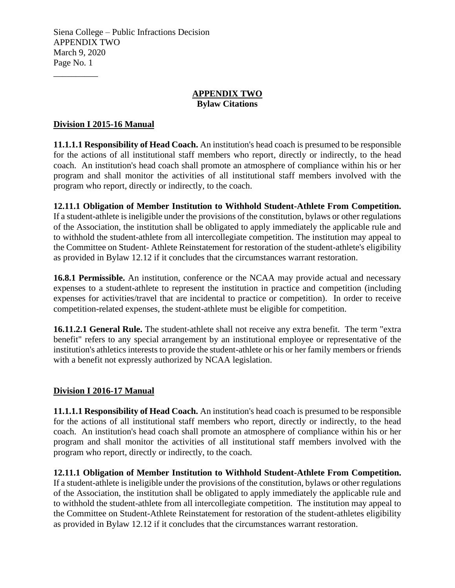#### **APPENDIX TWO Bylaw Citations**

### **Division I 2015-16 Manual**

\_\_\_\_\_\_\_\_\_\_

**11.1.1.1 Responsibility of Head Coach.** An institution's head coach is presumed to be responsible for the actions of all institutional staff members who report, directly or indirectly, to the head coach. An institution's head coach shall promote an atmosphere of compliance within his or her program and shall monitor the activities of all institutional staff members involved with the program who report, directly or indirectly, to the coach.

**12.11.1 Obligation of Member Institution to Withhold Student-Athlete From Competition.**  If a student-athlete is ineligible under the provisions of the constitution, bylaws or other regulations of the Association, the institution shall be obligated to apply immediately the applicable rule and to withhold the student-athlete from all intercollegiate competition. The institution may appeal to the Committee on Student- Athlete Reinstatement for restoration of the student-athlete's eligibility as provided in Bylaw 12.12 if it concludes that the circumstances warrant restoration.

**16.8.1 Permissible.** An institution, conference or the NCAA may provide actual and necessary expenses to a student-athlete to represent the institution in practice and competition (including expenses for activities/travel that are incidental to practice or competition). In order to receive competition-related expenses, the student-athlete must be eligible for competition.

**16.11.2.1 General Rule.** The student-athlete shall not receive any extra benefit. The term "extra benefit" refers to any special arrangement by an institutional employee or representative of the institution's athletics interests to provide the student-athlete or his or her family members or friends with a benefit not expressly authorized by NCAA legislation.

#### **Division I 2016-17 Manual**

**11.1.1.1 Responsibility of Head Coach.** An institution's head coach is presumed to be responsible for the actions of all institutional staff members who report, directly or indirectly, to the head coach. An institution's head coach shall promote an atmosphere of compliance within his or her program and shall monitor the activities of all institutional staff members involved with the program who report, directly or indirectly, to the coach.

**12.11.1 Obligation of Member Institution to Withhold Student-Athlete From Competition.**  If a student-athlete is ineligible under the provisions of the constitution, bylaws or other regulations of the Association, the institution shall be obligated to apply immediately the applicable rule and to withhold the student-athlete from all intercollegiate competition. The institution may appeal to the Committee on Student-Athlete Reinstatement for restoration of the student-athletes eligibility as provided in Bylaw 12.12 if it concludes that the circumstances warrant restoration.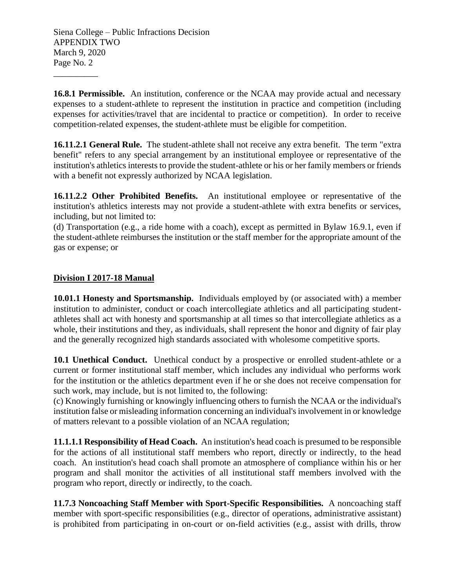\_\_\_\_\_\_\_\_\_\_

**16.8.1 Permissible.** An institution, conference or the NCAA may provide actual and necessary expenses to a student-athlete to represent the institution in practice and competition (including expenses for activities/travel that are incidental to practice or competition). In order to receive competition-related expenses, the student-athlete must be eligible for competition.

**16.11.2.1 General Rule.** The student-athlete shall not receive any extra benefit. The term "extra benefit" refers to any special arrangement by an institutional employee or representative of the institution's athletics interests to provide the student-athlete or his or her family members or friends with a benefit not expressly authorized by NCAA legislation.

**16.11.2.2 Other Prohibited Benefits.** An institutional employee or representative of the institution's athletics interests may not provide a student-athlete with extra benefits or services, including, but not limited to:

(d) Transportation (e.g., a ride home with a coach), except as permitted in Bylaw 16.9.1, even if the student-athlete reimburses the institution or the staff member for the appropriate amount of the gas or expense; or

# **Division I 2017-18 Manual**

**10.01.1 Honesty and Sportsmanship.** Individuals employed by (or associated with) a member institution to administer, conduct or coach intercollegiate athletics and all participating studentathletes shall act with honesty and sportsmanship at all times so that intercollegiate athletics as a whole, their institutions and they, as individuals, shall represent the honor and dignity of fair play and the generally recognized high standards associated with wholesome competitive sports.

10.1 Unethical Conduct. Unethical conduct by a prospective or enrolled student-athlete or a current or former institutional staff member, which includes any individual who performs work for the institution or the athletics department even if he or she does not receive compensation for such work, may include, but is not limited to, the following:

(c) Knowingly furnishing or knowingly influencing others to furnish the NCAA or the individual's institution false or misleading information concerning an individual's involvement in or knowledge of matters relevant to a possible violation of an NCAA regulation;

**11.1.1.1 Responsibility of Head Coach.** An institution's head coach is presumed to be responsible for the actions of all institutional staff members who report, directly or indirectly, to the head coach. An institution's head coach shall promote an atmosphere of compliance within his or her program and shall monitor the activities of all institutional staff members involved with the program who report, directly or indirectly, to the coach.

**11.7.3 Noncoaching Staff Member with Sport-Specific Responsibilities.** A noncoaching staff member with sport-specific responsibilities (e.g., director of operations, administrative assistant) is prohibited from participating in on-court or on-field activities (e.g., assist with drills, throw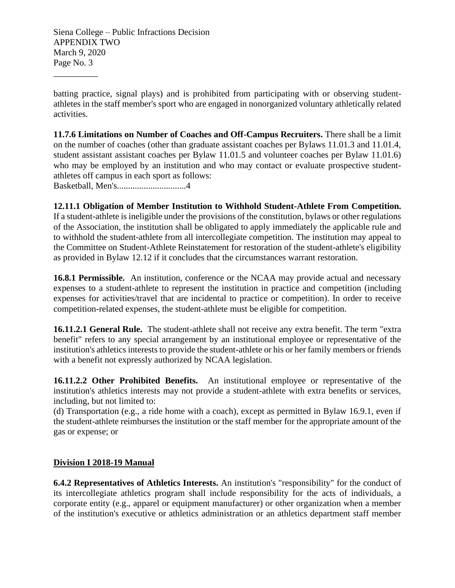\_\_\_\_\_\_\_\_\_\_

batting practice, signal plays) and is prohibited from participating with or observing studentathletes in the staff member's sport who are engaged in nonorganized voluntary athletically related activities.

**11.7.6 Limitations on Number of Coaches and Off-Campus Recruiters.** There shall be a limit on the number of coaches (other than graduate assistant coaches per Bylaws 11.01.3 and 11.01.4, student assistant assistant coaches per Bylaw 11.01.5 and volunteer coaches per Bylaw 11.01.6) who may be employed by an institution and who may contact or evaluate prospective studentathletes off campus in each sport as follows: Basketball, Men's...............................4

**12.11.1 Obligation of Member Institution to Withhold Student-Athlete From Competition.**  If a student-athlete is ineligible under the provisions of the constitution, bylaws or other regulations of the Association, the institution shall be obligated to apply immediately the applicable rule and to withhold the student-athlete from all intercollegiate competition. The institution may appeal to the Committee on Student-Athlete Reinstatement for restoration of the student-athlete's eligibility as provided in Bylaw 12.12 if it concludes that the circumstances warrant restoration.

**16.8.1 Permissible.** An institution, conference or the NCAA may provide actual and necessary expenses to a student-athlete to represent the institution in practice and competition (including expenses for activities/travel that are incidental to practice or competition). In order to receive competition-related expenses, the student-athlete must be eligible for competition.

**16.11.2.1 General Rule.** The student-athlete shall not receive any extra benefit. The term "extra benefit" refers to any special arrangement by an institutional employee or representative of the institution's athletics interests to provide the student-athlete or his or her family members or friends with a benefit not expressly authorized by NCAA legislation.

**16.11.2.2 Other Prohibited Benefits.** An institutional employee or representative of the institution's athletics interests may not provide a student-athlete with extra benefits or services, including, but not limited to:

(d) Transportation (e.g., a ride home with a coach), except as permitted in Bylaw 16.9.1, even if the student-athlete reimburses the institution or the staff member for the appropriate amount of the gas or expense; or

## **Division I 2018-19 Manual**

**6.4.2 Representatives of Athletics Interests.** An institution's "responsibility" for the conduct of its intercollegiate athletics program shall include responsibility for the acts of individuals, a corporate entity (e.g., apparel or equipment manufacturer) or other organization when a member of the institution's executive or athletics administration or an athletics department staff member